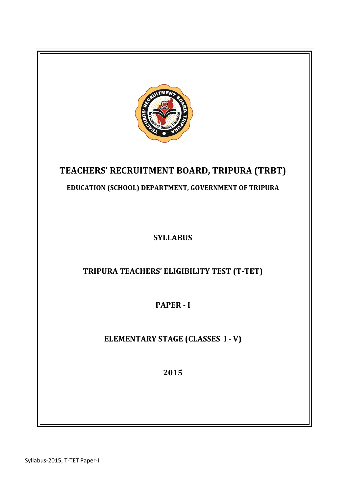

# TEACHERS' RECRUITMENT BOARD, TRIPURA (TRBT)

EDUCATION (SCHOOL) DEPARTMENT, GOVERNMENT OF TRIPURA

**SYLLABUS** 

TRIPURA TEACHERS' ELIGIBILITY TEST (T-TET)

PAPER - I

ELEMENTARY STAGE (CLASSES I - V)

2015

Syllabus-2015, T-TET Paper-I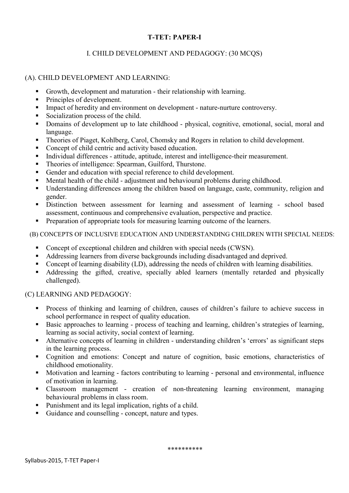## I. CHILD DEVELOPMENT AND PEDAGOGY: (30 MCQS)

## (A). CHILD DEVELOPMENT AND LEARNING:

- Growth, development and maturation their relationship with learning.
- Principles of development.
- Impact of heredity and environment on development nature-nurture controversy.
- Socialization process of the child.
- Domains of development up to late childhood physical, cognitive, emotional, social, moral and language.
- Theories of Piaget, Kohlberg, Carol, Chomsky and Rogers in relation to child development.
- Concept of child centric and activity based education.
- Individual differences attitude, aptitude, interest and intelligence-their measurement.
- Theories of intelligence: Spearman, Guilford, Thurstone.
- Gender and education with special reference to child development.
- Mental health of the child adjustment and behavioural problems during childhood.
- Understanding differences among the children based on language, caste, community, religion and gender.
- Distinction between assessment for learning and assessment of learning school based assessment, continuous and comprehensive evaluation, perspective and practice.
- Preparation of appropriate tools for measuring learning outcome of the learners.

(B) CONCEPTS OF INCLUSIVE EDUCATION AND UNDERSTANDING CHILDREN WITH SPECIAL NEEDS:

- Concept of exceptional children and children with special needs (CWSN).
- Addressing learners from diverse backgrounds including disadvantaged and deprived.
- Concept of learning disability (LD), addressing the needs of children with learning disabilities.
- Addressing the gifted, creative, specially abled learners (mentally retarded and physically challenged).

## (C) LEARNING AND PEDAGOGY:

- **Process of thinking and learning of children, causes of children's failure to achieve success in** school performance in respect of quality education.
- Basic approaches to learning process of teaching and learning, children's strategies of learning, learning as social activity, social context of learning.
- Alternative concepts of learning in children understanding children's 'errors' as significant steps in the learning process.
- Cognition and emotions: Concept and nature of cognition, basic emotions, characteristics of childhood emotionality.
- Motivation and learning factors contributing to learning personal and environmental, influence of motivation in learning.
- Classroom management creation of non-threatening learning environment, managing behavioural problems in class room.
- Punishment and its legal implication, rights of a child.
- Guidance and counselling concept, nature and types.

\*\*\*\*\*\*\*\*\*\*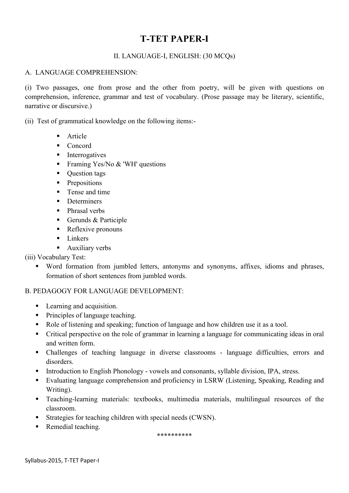## II. LANGUAGE-I, ENGLISH: (30 MCQs)

### A. LANGUAGE COMPREHENSION:

(i) Two passages, one from prose and the other from poetry, will be given with questions on comprehension, inference, grammar and test of vocabulary. (Prose passage may be literary, scientific, narrative or discursive.)

(ii) Test of grammatical knowledge on the following items:-

- **Article**
- Concord
- **Interrogatives**
- Framing Yes/No  $&$  'WH' questions
- **Question tags**
- **Prepositions**
- **Tense and time**
- Determiners
- Phrasal verbs
- Gerunds & Participle
- Reflexive pronouns
- **Linkers**
- **Auxiliary verbs**

(iii) Vocabulary Test:

 Word formation from jumbled letters, antonyms and synonyms, affixes, idioms and phrases, formation of short sentences from jumbled words.

## B. PEDAGOGY FOR LANGUAGE DEVELOPMENT:

- **Learning and acquisition.**
- Principles of language teaching.
- Role of listening and speaking; function of language and how children use it as a tool.
- Critical perspective on the role of grammar in learning a language for communicating ideas in oral and written form.
- Challenges of teaching language in diverse classrooms language difficulties, errors and disorders.
- Introduction to English Phonology vowels and consonants, syllable division, IPA, stress.
- Evaluating language comprehension and proficiency in LSRW (Listening, Speaking, Reading and Writing).
- Teaching-learning materials: textbooks, multimedia materials, multilingual resources of the classroom.
- Strategies for teaching children with special needs (CWSN).
- Remedial teaching.

\*\*\*\*\*\*\*\*\*\*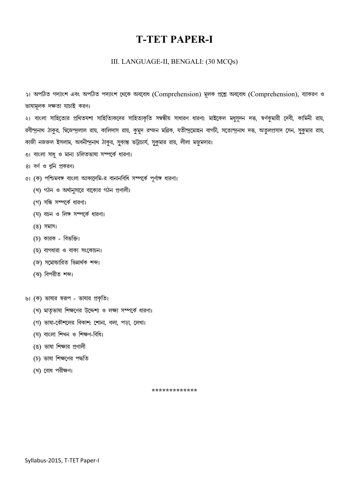#### III. LANGUAGE-II, BENGALI: (30 MCQs)

১। অপঠিত গদ্যাংশ এবং অপঠিত পদ্যাংশ থেকে অববোধ (Comprehension) মূলক প্রশ্নে অববোধ (Comprehension), ব্যাকরণ ও ভাষামলক দক্ষতা যাচাই করণ।

২। বাংলা সাহিত্যের প্রথিতযশা সাহিত্যিকদের সাহিত্যকৃতি সম্বন্ধীয় সাধারণ ধারণা: মাইকেল মধুসূদন দত্ত, স্বর্ণকুমারী দেবী, কামিনী রায়, রবীন্দ্রনাথ ঠাকুর, দ্বিজেন্দ্রলাল রায়, কালিদাস রায়, কুমুদ রন্জন মল্লিক, যতীন্দ্রমোহন বাগচী, সত্যেন্দ্রনাথ দত্ত, অতুলপ্রসাদ সেন, সুকুমার রায়, কাজী নজরুল ইসলাম, অবনীন্দুনাথ ঠাকুর, সুকান্ত ভট্টাচার্য, সুকুমার রায়, লীলা মজুমদার।

- ৩। বাংলা সাধু ও মান্য চলিতভাষা সম্পর্কে ধারণা।
- 81 বৰ্ণ ও ধুনি প্ৰকরণ।
- ৫। (ক) পশ্চিমবঙ্গ বাংলা আকাদেমি-র বানানবিধি সম্পর্কে পূর্ণাঙ্গ ধারণা।
	- (খ) গঠন ও অর্থানুসারে বাক্যের গঠন প্রণালী।
	- (গ) সন্ধি সম্পর্কে ধারণা।
	- (ঘ) বচন ও লিঙ্গ সম্পর্কে ধারণা।
	- (ঙ) সমাস।
	- (চ) কারক বিভক্তি।
	- (ছ) বাগধারা ও বাক্য সংকোচন।
	- জি) সমোচ্চারিত ভিন্নার্থক শব্দ।
	- (ঝ) বিপরীত শব্দ।
- ৬। (ক) ভাষার স্বরূপ ভাষার প্রকৃতি।
	- (খ) মাতৃভাষা শিক্ষণের উদ্দেশ্য ও লক্ষ্য সম্পর্কে ধারণা।
	- (গ) ভাষা-কৌশলের বিকাশ: শোনা, বলা, পড়া, লেখা।
	- (ঘ) বাংলা শিখন ও শিক্ষণ-বিধি।
	- (ঙ) ভাষা শিক্ষার প্রণালী
	- (চ) ভাষা শিক্ষণের পদ্ধতি
	- (খ) বোধ পরীক্ষণ।

\*\*\*\*\*\*\*\*\*\*\*\*\*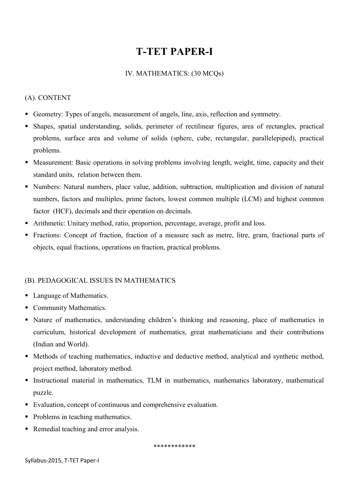## IV. MATHEMATICS: (30 MCQs)

## (A). CONTENT

- Geometry: Types of angels, measurement of angels, line, axis, reflection and symmetry.
- Shapes, spatial understanding, solids, perimeter of rectilinear figures, area of rectangles, practical problems, surface area and volume of solids (sphere, cube, rectangular, parallelepiped), practical problems.
- Measurement: Basic operations in solving problems involving length, weight, time, capacity and their standard units, relation between them.
- Numbers: Natural numbers, place value, addition, subtraction, multiplication and division of natural numbers, factors and multiples, prime factors, lowest common multiple (LCM) and highest common factor (HCF), decimals and their operation on decimals.
- Arithmetic: Unitary method, ratio, proportion, percentage, average, profit and loss.
- Fractions: Concept of fraction, fraction of a measure such as metre, litre, gram, fractional parts of objects, equal fractions, operations on fraction, practical problems.

## (B). PEDAGOGICAL ISSUES IN MATHEMATICS

- Language of Mathematics.
- Community Mathematics.
- Nature of mathematics, understanding children's thinking and reasoning, place of mathematics in curriculum, historical development of mathematics, great mathematicians and their contributions (Indian and World).
- Methods of teaching mathematics, inductive and deductive method, analytical and synthetic method, project method, laboratory method.
- Instructional material in mathematics, TLM in mathematics, mathematics laboratory, mathematical puzzle.
- Evaluation, concept of continuous and comprehensive evaluation.
- Problems in teaching mathematics.
- Remedial teaching and error analysis.

\*\*\*\*\*\*\*\*\*\*\*\*